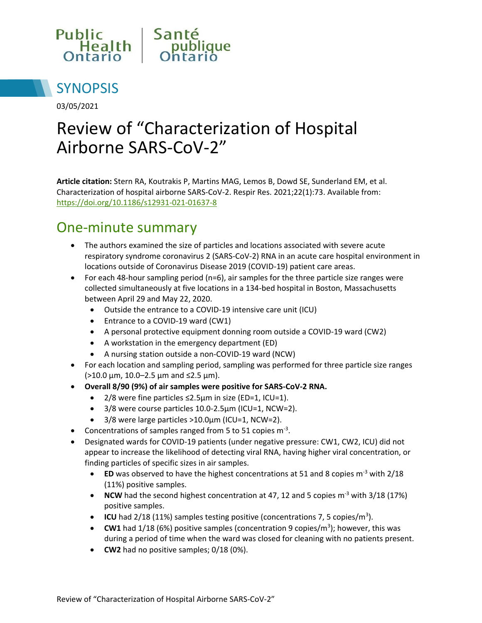



03/05/2021

# Review of "Characterization of Hospital Airborne SARS-CoV-2"

**Article citation:** Stern RA, Koutrakis P, Martins MAG, Lemos B, Dowd SE, Sunderland EM, et al. Characterization of hospital airborne SARS-CoV-2. Respir Res. 2021;22(1):73. Available from: <https://doi.org/10.1186/s12931-021-01637-8>

#### One-minute summary

- The authors examined the size of particles and locations associated with severe acute respiratory syndrome coronavirus 2 (SARS-CoV-2) RNA in an acute care hospital environment in locations outside of Coronavirus Disease 2019 (COVID-19) patient care areas.
- For each 48-hour sampling period ( $n=6$ ), air samples for the three particle size ranges were collected simultaneously at five locations in a 134-bed hospital in Boston, Massachusetts between April 29 and May 22, 2020.
	- Outside the entrance to a COVID-19 intensive care unit (ICU)
	- Entrance to a COVID-19 ward (CW1)
	- A personal protective equipment donning room outside a COVID-19 ward (CW2)
	- A workstation in the emergency department (ED)
	- A nursing station outside a non-COVID-19 ward (NCW)
- For each location and sampling period, sampling was performed for three particle size ranges (>10.0 µm, 10.0–2.5 µm and ≤2.5 µm).
- **Overall 8/90 (9%) of air samples were positive for SARS-CoV-2 RNA.** 
	- 2/8 were fine particles ≤2.5µm in size (ED=1, ICU=1).
	- 3/8 were course particles 10.0-2.5µm (ICU=1, NCW=2).
	- 3/8 were large particles >10.0µm (ICU=1, NCW=2).
- Concentrations of samples ranged from 5 to 51 copies  $m^{-3}$ .
- Designated wards for COVID-19 patients (under negative pressure: CW1, CW2, ICU) did not appear to increase the likelihood of detecting viral RNA, having higher viral concentration, or finding particles of specific sizes in air samples.
	- **ED** was observed to have the highest concentrations at 51 and 8 copies m<sup>-3</sup> with 2/18 (11%) positive samples.
	- **NCW** had the second highest concentration at 47, 12 and 5 copies m<sup>-3</sup> with 3/18 (17%) positive samples.
	- **ICU** had 2/18 (11%) samples testing positive (concentrations 7, 5 copies/m<sup>3</sup>).
	- **CW1** had  $1/18$  (6%) positive samples (concentration 9 copies/ $m<sup>3</sup>$ ); however, this was during a period of time when the ward was closed for cleaning with no patients present.
	- **CW2** had no positive samples;  $0/18$  (0%).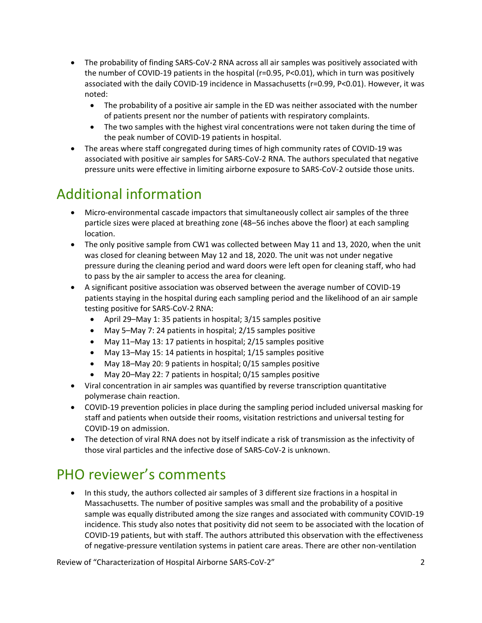- The probability of finding SARS-CoV-2 RNA across all air samples was positively associated with the number of COVID-19 patients in the hospital (r=0.95, P<0.01), which in turn was positively associated with the daily COVID-19 incidence in Massachusetts (r=0.99, P<0.01). However, it was noted:
	- The probability of a positive air sample in the ED was neither associated with the number of patients present nor the number of patients with respiratory complaints.
	- The two samples with the highest viral concentrations were not taken during the time of the peak number of COVID-19 patients in hospital.
- The areas where staff congregated during times of high community rates of COVID-19 was associated with positive air samples for SARS-CoV-2 RNA. The authors speculated that negative pressure units were effective in limiting airborne exposure to SARS-CoV-2 outside those units.

### Additional information

- Micro-environmental cascade impactors that simultaneously collect air samples of the three particle sizes were placed at breathing zone (48–56 inches above the floor) at each sampling location.
- The only positive sample from CW1 was collected between May 11 and 13, 2020, when the unit was closed for cleaning between May 12 and 18, 2020. The unit was not under negative pressure during the cleaning period and ward doors were left open for cleaning staff, who had to pass by the air sampler to access the area for cleaning.
- A significant positive association was observed between the average number of COVID-19 patients staying in the hospital during each sampling period and the likelihood of an air sample testing positive for SARS-CoV-2 RNA:
	- April 29–May 1: 35 patients in hospital; 3/15 samples positive
	- May 5–May 7: 24 patients in hospital; 2/15 samples positive
	- May 11–May 13: 17 patients in hospital; 2/15 samples positive
	- May 13–May 15: 14 patients in hospital; 1/15 samples positive
	- May 18–May 20: 9 patients in hospital; 0/15 samples positive
	- May 20–May 22: 7 patients in hospital; 0/15 samples positive
- Viral concentration in air samples was quantified by reverse transcription quantitative polymerase chain reaction.
- COVID-19 prevention policies in place during the sampling period included universal masking for staff and patients when outside their rooms, visitation restrictions and universal testing for COVID-19 on admission.
- The detection of viral RNA does not by itself indicate a risk of transmission as the infectivity of those viral particles and the infective dose of SARS-CoV-2 is unknown.

### PHO reviewer's comments

• In this study, the authors collected air samples of 3 different size fractions in a hospital in Massachusetts. The number of positive samples was small and the probability of a positive sample was equally distributed among the size ranges and associated with community COVID-19 incidence. This study also notes that positivity did not seem to be associated with the location of COVID-19 patients, but with staff. The authors attributed this observation with the effectiveness of negative-pressure ventilation systems in patient care areas. There are other non-ventilation

Review of "Characterization of Hospital Airborne SARS-CoV-2" 2014 2014 2014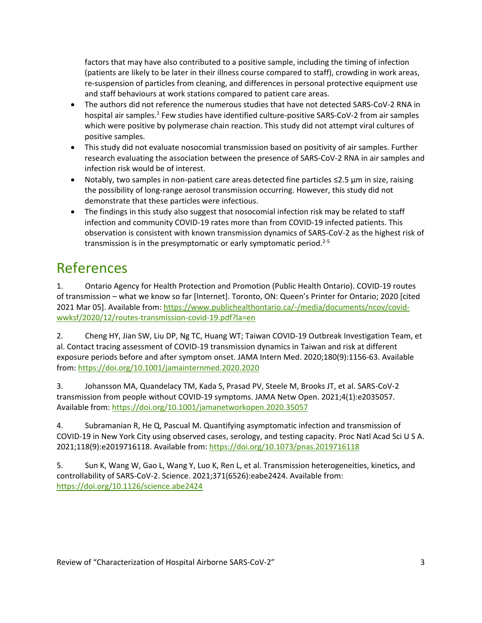factors that may have also contributed to a positive sample, including the timing of infection (patients are likely to be later in their illness course compared to staff), crowding in work areas, re-suspension of particles from cleaning, and differences in personal protective equipment use and staff behaviours at work stations compared to patient care areas.

- The authors did not reference the numerous studies that have not detected SARS-CoV-2 RNA in hospital air samples.<sup>1</sup> Few studies have identified culture-positive SARS-CoV-2 from air samples which were positive by polymerase chain reaction. This study did not attempt viral cultures of positive samples.
- This study did not evaluate nosocomial transmission based on positivity of air samples. Further research evaluating the association between the presence of SARS-CoV-2 RNA in air samples and infection risk would be of interest.
- Notably, two samples in non-patient care areas detected fine particles ≤2.5 µm in size, raising the possibility of long-range aerosol transmission occurring. However, this study did not demonstrate that these particles were infectious.
- The findings in this study also suggest that nosocomial infection risk may be related to staff infection and community COVID-19 rates more than from COVID-19 infected patients. This observation is consistent with known transmission dynamics of SARS-CoV-2 as the highest risk of transmission is in the presymptomatic or early symptomatic period. $2-5$

#### References

1. Ontario Agency for Health Protection and Promotion (Public Health Ontario). COVID-19 routes of transmission – what we know so far [Internet]. Toronto, ON: Queen's Printer for Ontario; 2020 [cited 2021 Mar 05]. Available from: [https://www.publichealthontario.ca/-/media/documents/ncov/covid](http://www.publichealthontario.ca/-/media/documents/ncov/covid-wwksf/2020/12/routes-transmission-covid-19.pdf?la=en)[wwksf/2020/12/routes-transmission-covid-19.pdf?la=en](http://www.publichealthontario.ca/-/media/documents/ncov/covid-wwksf/2020/12/routes-transmission-covid-19.pdf?la=en)

2. Cheng HY, Jian SW, Liu DP, Ng TC, Huang WT; Taiwan COVID-19 Outbreak Investigation Team, et al. Contact tracing assessment of COVID-19 transmission dynamics in Taiwan and risk at different exposure periods before and after symptom onset. JAMA Intern Med. 2020;180(9):1156-63. Available from:<https://doi.org/10.1001/jamainternmed.2020.2020>

3. Johansson MA, Quandelacy TM, Kada S, Prasad PV, Steele M, Brooks JT, et al. SARS-CoV-2 transmission from people without COVID-19 symptoms. JAMA Netw Open. 2021;4(1):e2035057. Available from:<https://doi.org/10.1001/jamanetworkopen.2020.35057>

4. Subramanian R, He Q, Pascual M. Quantifying asymptomatic infection and transmission of COVID-19 in New York City using observed cases, serology, and testing capacity. Proc Natl Acad Sci U S A. 2021;118(9):e2019716118. Available from:<https://doi.org/10.1073/pnas.2019716118>

5. Sun K, Wang W, Gao L, Wang Y, Luo K, Ren L, et al. Transmission heterogeneities, kinetics, and controllability of SARS-CoV-2. Science. 2021;371(6526):eabe2424. Available from: <https://doi.org/10.1126/science.abe2424>